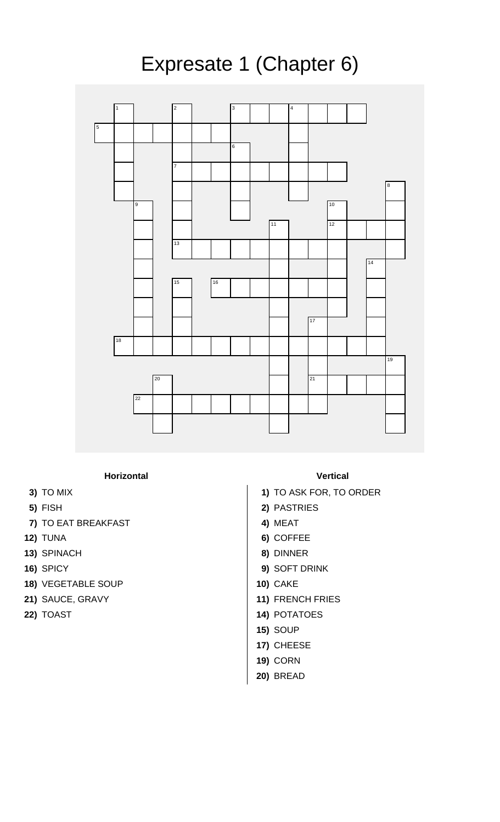

## **Horizontal Vertical**

- 
- 
- **7)** TO EAT BREAKFAST **4)** MEAT
- 
- **13)** SPINACH **8)** DINNER
- 
- **18)** VEGETABLE SOUP **10)** CAKE
- 
- 

- **3)** TO MIX **1)** TO ASK FOR, TO ORDER
- **5)** FISH **2)** PASTRIES
	-
- **12)** TUNA **6)** COFFEE
	-
- **16)** SPICY **9)** SOFT DRINK
	-
- **21)** SAUCE, GRAVY **11)** FRENCH FRIES
- **22)** TOAST **14)** POTATOES
	- **15)** SOUP
	- **17)** CHEESE
	- **19)** CORN
	- **20)** BREAD

## Expresate 1 (Chapter 6)